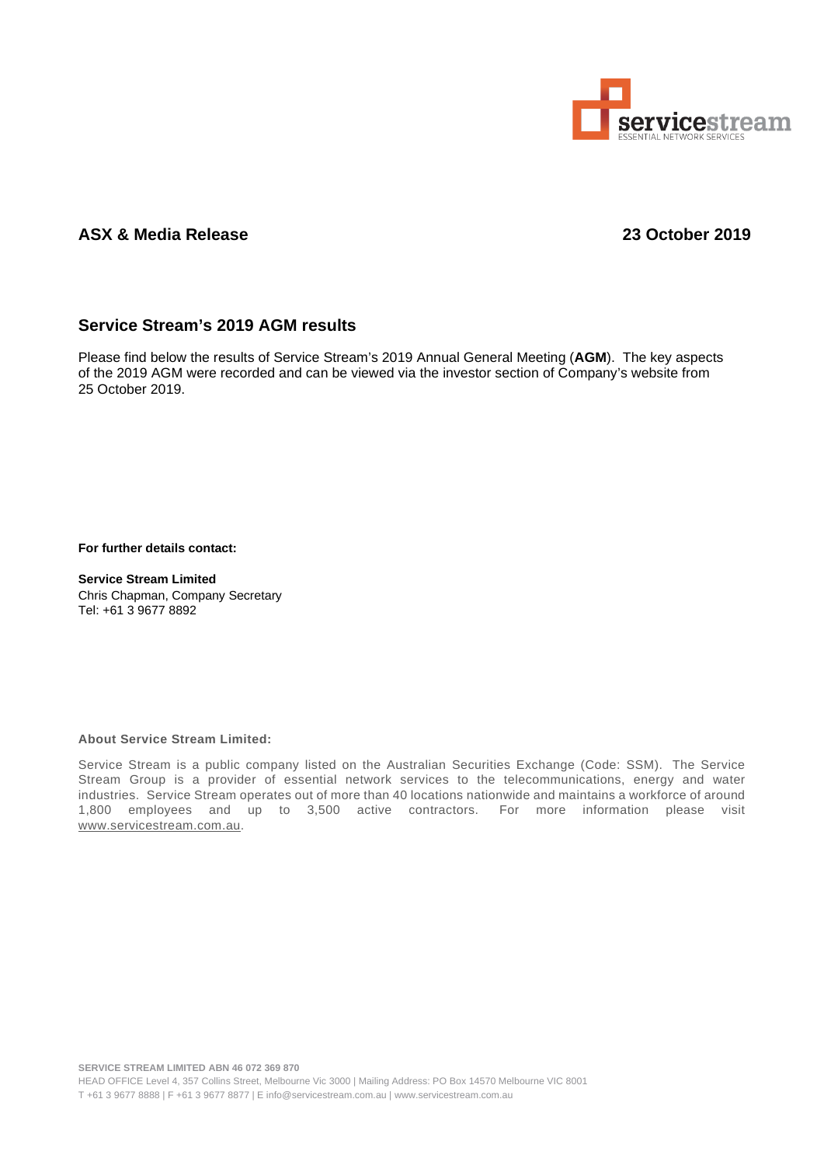

## **ASX & Media Release 23 October 2019**

## **Service Stream's 2019 AGM results**

Please find below the results of Service Stream's 2019 Annual General Meeting (**AGM**). The key aspects of the 2019 AGM were recorded and can be viewed via the investor section of Company's website from 25 October 2019.

**For further details contact:**

**Service Stream Limited** Chris Chapman, Company Secretary Tel: +61 3 9677 8892

## **About Service Stream Limited:**

Service Stream is a public company listed on the Australian Securities Exchange (Code: SSM). The Service Stream Group is a provider of essential network services to the telecommunications, energy and water industries. Service Stream operates out of more than 40 locations nationwide and maintains a workforce of around 1,800 employees and up to 3,500 active contractors. For more information please visit [www.servicestream.com.au.](http://www.servicestream.com.au/)